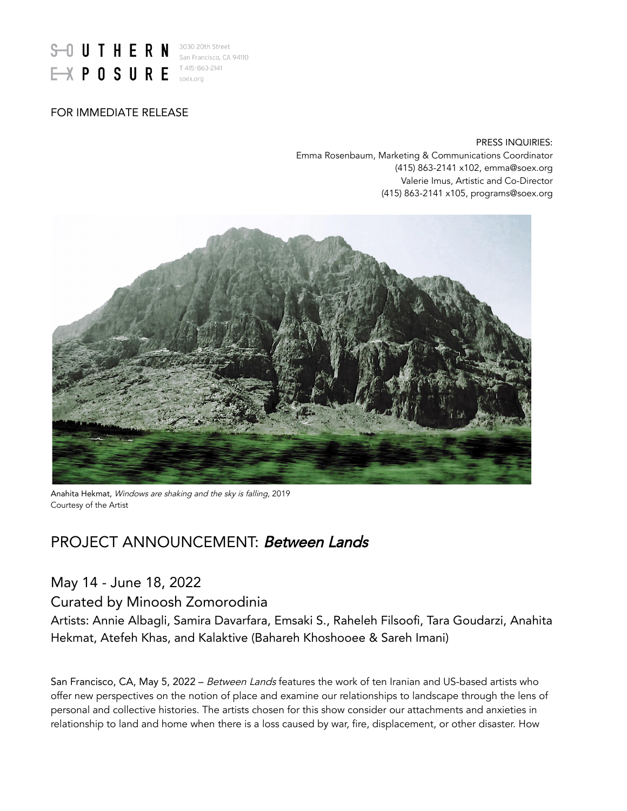

### FOR IMMEDIATE RELEASE

PRESS INQUIRIES: Emma Rosenbaum, Marketing & Communications Coordinator (415) 863-2141 x102, emma@soex.org Valerie Imus, Artistic and Co-Director (415) 863-2141 x105, programs@soex.org



Anahita Hekmat, Windows are shaking and the sky is falling, 2019 Courtesy of the Artist

# PROJECT ANNOUNCEMENT: Between Lands

## May 14 - June 18, 2022

Curated by Minoosh Zomorodinia

Artists: Annie Albagli, Samira Davarfara, Emsaki S., Raheleh Filsoofi, Tara Goudarzi, Anahita Hekmat, Atefeh Khas, and Kalaktive (Bahareh Khoshooee & Sareh Imani)

San Francisco, CA, May 5, 2022 – Between Lands features the work of ten Iranian and US-based artists who offer new perspectives on the notion of place and examine our relationships to landscape through the lens of personal and collective histories. The artists chosen for this show consider our attachments and anxieties in relationship to land and home when there is a loss caused by war, fire, displacement, or other disaster. How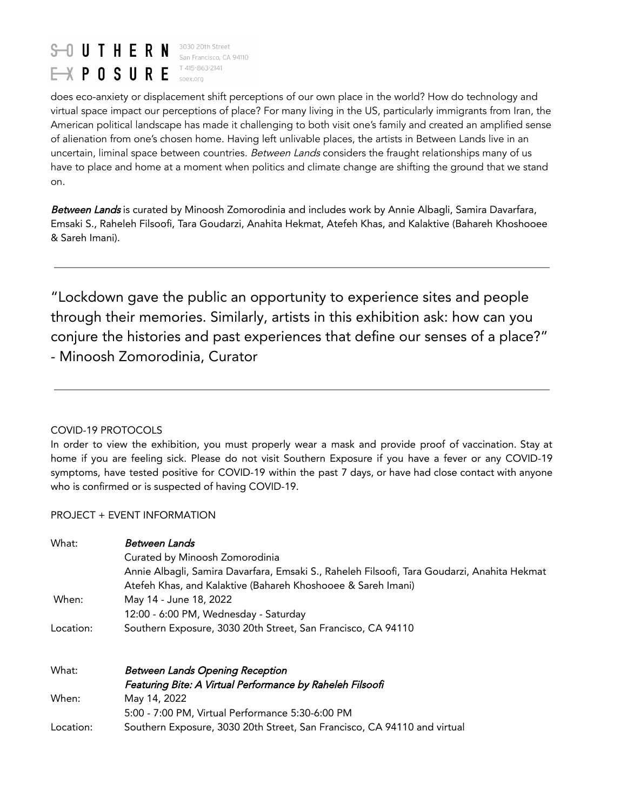#### $S$  U T H E R N 3030 20th Street San Francisco, CA 94110 T 415-863-2141  $\rightarrow$  POSURE soex.org

does eco-anxiety or displacement shift perceptions of our own place in the world? How do technology and virtual space impact our perceptions of place? For many living in the US, particularly immigrants from Iran, the American political landscape has made it challenging to both visit one's family and created an amplified sense of alienation from one's chosen home. Having left unlivable places, the artists in Between Lands live in an uncertain, liminal space between countries. Between Lands considers the fraught relationships many of us have to place and home at a moment when politics and climate change are shifting the ground that we stand on.

Between Lands is curated by Minoosh Zomorodinia and includes work by Annie Albagli, Samira Davarfara, Emsaki S., Raheleh Filsoofi, Tara Goudarzi, Anahita Hekmat, Atefeh Khas, and Kalaktive (Bahareh Khoshooee & Sareh Imani).

"Lockdown gave the public an opportunity to experience sites and people through their memories. Similarly, artists in this exhibition ask: how can you conjure the histories and past experiences that define our senses of a place?" - Minoosh Zomorodinia, Curator

### COVID-19 PROTOCOLS

In order to view the exhibition, you must properly wear a mask and provide proof of vaccination. Stay at home if you are feeling sick. Please do not visit Southern Exposure if you have a fever or any COVID-19 symptoms, have tested positive for COVID-19 within the past 7 days, or have had close contact with anyone who is confirmed or is suspected of having COVID-19.

#### PROJECT + EVENT INFORMATION

| What:     | Between Lands<br>Curated by Minoosh Zomorodinia<br>Annie Albagli, Samira Davarfara, Emsaki S., Raheleh Filsoofi, Tara Goudarzi, Anahita Hekmat<br>Atefeh Khas, and Kalaktive (Bahareh Khoshooee & Sareh Imani) |
|-----------|----------------------------------------------------------------------------------------------------------------------------------------------------------------------------------------------------------------|
| When:     | May 14 - June 18, 2022                                                                                                                                                                                         |
|           | 12:00 - 6:00 PM, Wednesday - Saturday                                                                                                                                                                          |
| Location: | Southern Exposure, 3030 20th Street, San Francisco, CA 94110                                                                                                                                                   |
| What:     | <b>Between Lands Opening Reception</b>                                                                                                                                                                         |
|           | Featuring Bite: A Virtual Performance by Raheleh Filsoofi                                                                                                                                                      |
| When:     | May 14, 2022                                                                                                                                                                                                   |
|           | 5:00 - 7:00 PM, Virtual Performance 5:30-6:00 PM                                                                                                                                                               |
| Location: | Southern Exposure, 3030 20th Street, San Francisco, CA 94110 and virtual                                                                                                                                       |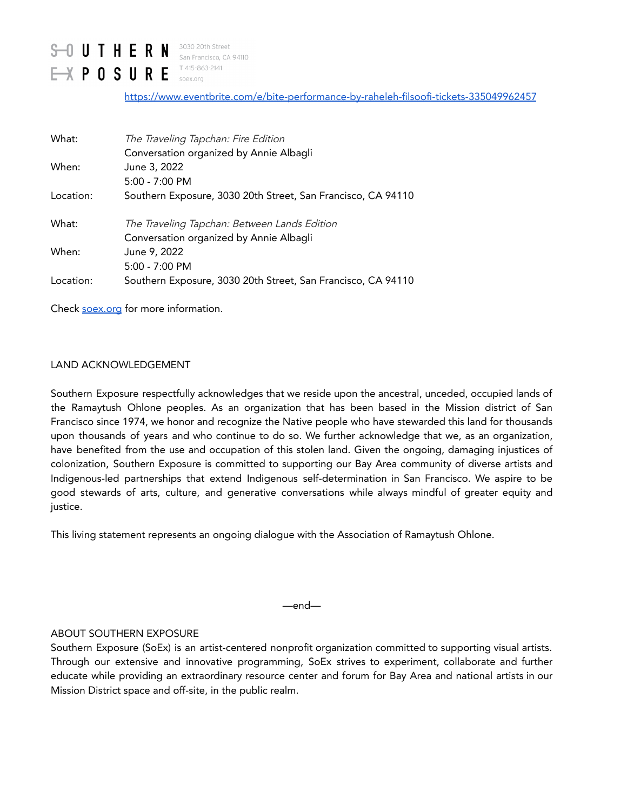#### $S - 0$  UTHERN 3030 20th Street San Francisco, CA 94110 T 415-863-2141  $M P 0 S U R E$ soex.org

<https://www.eventbrite.com/e/bite-performance-by-raheleh-filsoofi-tickets-335049962457>

| What:     | The Traveling Tapchan: Fire Edition                          |
|-----------|--------------------------------------------------------------|
|           | Conversation organized by Annie Albagli                      |
| When:     | June 3, 2022                                                 |
|           | $5:00 - 7:00 \text{ PM}$                                     |
| Location: | Southern Exposure, 3030 20th Street, San Francisco, CA 94110 |
| What:     | The Traveling Tapchan: Between Lands Edition                 |
|           | Conversation organized by Annie Albagli                      |
| When:     | June 9, 2022                                                 |
|           | $5:00 - 7:00$ PM                                             |
| Location: | Southern Exposure, 3030 20th Street, San Francisco, CA 94110 |

Check [soex.org](https://soex.org/) for more information.

#### LAND ACKNOWLEDGEMENT

Southern Exposure respectfully acknowledges that we reside upon the ancestral, unceded, occupied lands of the Ramaytush Ohlone peoples. As an organization that has been based in the Mission district of San Francisco since 1974, we honor and recognize the Native people who have stewarded this land for thousands upon thousands of years and who continue to do so. We further acknowledge that we, as an organization, have benefited from the use and occupation of this stolen land. Given the ongoing, damaging injustices of colonization, Southern Exposure is committed to supporting our Bay Area community of diverse artists and Indigenous-led partnerships that extend Indigenous self-determination in San Francisco. We aspire to be good stewards of arts, culture, and generative conversations while always mindful of greater equity and justice.

This living statement represents an ongoing dialogue with the Association of Ramaytush Ohlone.

—end—

#### ABOUT SOUTHERN EXPOSURE

Southern Exposure (SoEx) is an artist-centered nonprofit organization committed to supporting visual artists. Through our extensive and innovative programming, SoEx strives to experiment, collaborate and further educate while providing an extraordinary resource center and forum for Bay Area and national artists in our Mission District space and off-site, in the public realm.